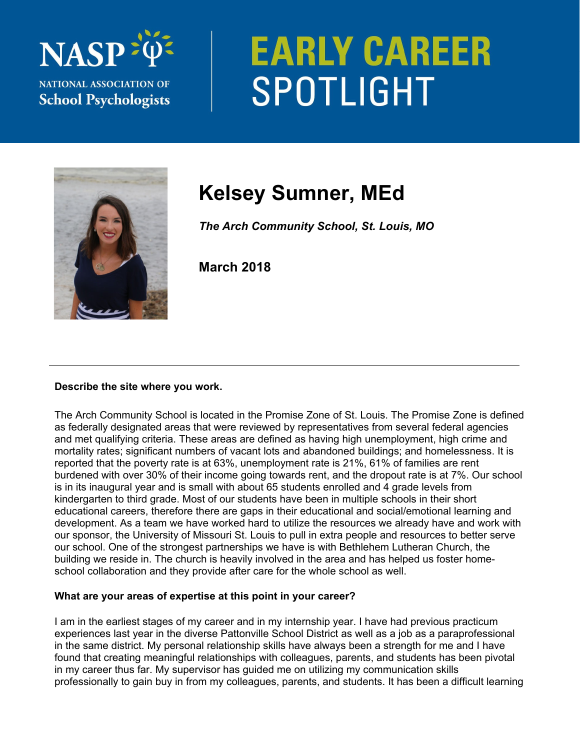

# **EARLY CAREER** SPOTLIGHT



# **Kelsey Sumner, MEd**

*The Arch Community School, St. Louis, MO* 

**March 2018** 

#### **Describe the site where you work.**

The Arch Community School is located in the Promise Zone of St. Louis. The Promise Zone is defined as federally designated areas that were reviewed by representatives from several federal agencies and met qualifying criteria. These areas are defined as having high unemployment, high crime and mortality rates; significant numbers of vacant lots and abandoned buildings; and homelessness. It is reported that the poverty rate is at 63%, unemployment rate is 21%, 61% of families are rent burdened with over 30% of their income going towards rent, and the dropout rate is at 7%. Our school is in its inaugural year and is small with about 65 students enrolled and 4 grade levels from kindergarten to third grade. Most of our students have been in multiple schools in their short educational careers, therefore there are gaps in their educational and social/emotional learning and development. As a team we have worked hard to utilize the resources we already have and work with our sponsor, the University of Missouri St. Louis to pull in extra people and resources to better serve our school. One of the strongest partnerships we have is with Bethlehem Lutheran Church, the building we reside in. The church is heavily involved in the area and has helped us foster homeschool collaboration and they provide after care for the whole school as well.

## **What are your areas of expertise at this point in your career?**

I am in the earliest stages of my career and in my internship year. I have had previous practicum experiences last year in the diverse Pattonville School District as well as a job as a paraprofessional in the same district. My personal relationship skills have always been a strength for me and I have found that creating meaningful relationships with colleagues, parents, and students has been pivotal in my career thus far. My supervisor has guided me on utilizing my communication skills professionally to gain buy in from my colleagues, parents, and students. It has been a difficult learning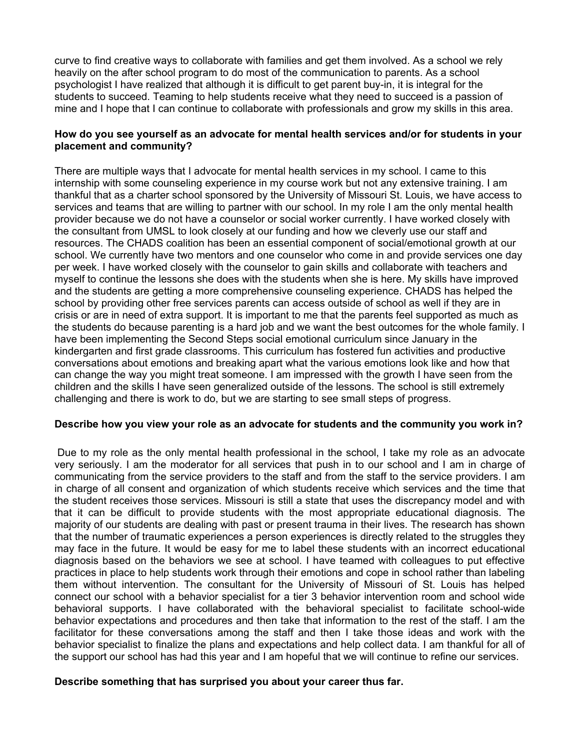curve to find creative ways to collaborate with families and get them involved. As a school we rely heavily on the after school program to do most of the communication to parents. As a school psychologist I have realized that although it is difficult to get parent buy-in, it is integral for the students to succeed. Teaming to help students receive what they need to succeed is a passion of mine and I hope that I can continue to collaborate with professionals and grow my skills in this area.

#### **How do you see yourself as an advocate for mental health services and/or for students in your placement and community?**

There are multiple ways that I advocate for mental health services in my school. I came to this internship with some counseling experience in my course work but not any extensive training. I am thankful that as a charter school sponsored by the University of Missouri St. Louis, we have access to services and teams that are willing to partner with our school. In my role I am the only mental health provider because we do not have a counselor or social worker currently. I have worked closely with the consultant from UMSL to look closely at our funding and how we cleverly use our staff and resources. The CHADS coalition has been an essential component of social/emotional growth at our school. We currently have two mentors and one counselor who come in and provide services one day per week. I have worked closely with the counselor to gain skills and collaborate with teachers and myself to continue the lessons she does with the students when she is here. My skills have improved and the students are getting a more comprehensive counseling experience. CHADS has helped the school by providing other free services parents can access outside of school as well if they are in crisis or are in need of extra support. It is important to me that the parents feel supported as much as the students do because parenting is a hard job and we want the best outcomes for the whole family. I have been implementing the Second Steps social emotional curriculum since January in the kindergarten and first grade classrooms. This curriculum has fostered fun activities and productive conversations about emotions and breaking apart what the various emotions look like and how that can change the way you might treat someone. I am impressed with the growth I have seen from the children and the skills I have seen generalized outside of the lessons. The school is still extremely challenging and there is work to do, but we are starting to see small steps of progress.

#### **Describe how you view your role as an advocate for students and the community you work in?**

 Due to my role as the only mental health professional in the school, I take my role as an advocate very seriously. I am the moderator for all services that push in to our school and I am in charge of communicating from the service providers to the staff and from the staff to the service providers. I am in charge of all consent and organization of which students receive which services and the time that the student receives those services. Missouri is still a state that uses the discrepancy model and with that it can be difficult to provide students with the most appropriate educational diagnosis. The majority of our students are dealing with past or present trauma in their lives. The research has shown that the number of traumatic experiences a person experiences is directly related to the struggles they may face in the future. It would be easy for me to label these students with an incorrect educational diagnosis based on the behaviors we see at school. I have teamed with colleagues to put effective practices in place to help students work through their emotions and cope in school rather than labeling them without intervention. The consultant for the University of Missouri of St. Louis has helped connect our school with a behavior specialist for a tier 3 behavior intervention room and school wide behavioral supports. I have collaborated with the behavioral specialist to facilitate school-wide behavior expectations and procedures and then take that information to the rest of the staff. I am the facilitator for these conversations among the staff and then I take those ideas and work with the behavior specialist to finalize the plans and expectations and help collect data. I am thankful for all of the support our school has had this year and I am hopeful that we will continue to refine our services.

#### **Describe something that has surprised you about your career thus far.**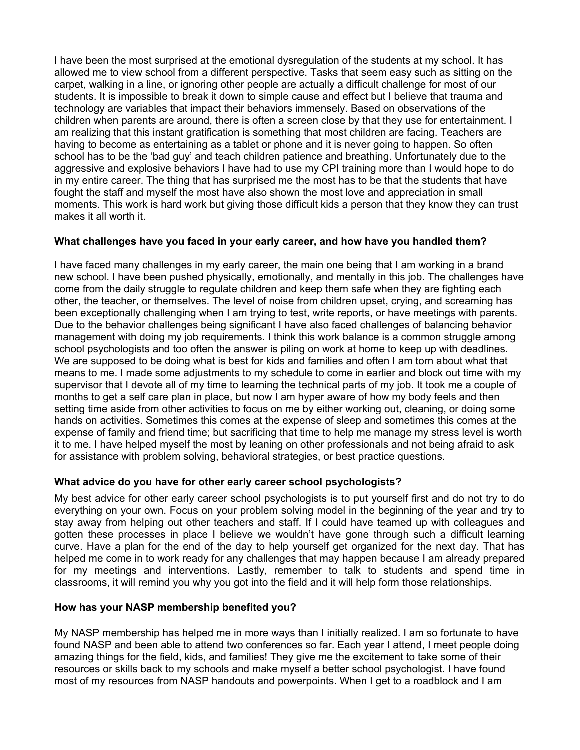I have been the most surprised at the emotional dysregulation of the students at my school. It has allowed me to view school from a different perspective. Tasks that seem easy such as sitting on the carpet, walking in a line, or ignoring other people are actually a difficult challenge for most of our students. It is impossible to break it down to simple cause and effect but I believe that trauma and technology are variables that impact their behaviors immensely. Based on observations of the children when parents are around, there is often a screen close by that they use for entertainment. I am realizing that this instant gratification is something that most children are facing. Teachers are having to become as entertaining as a tablet or phone and it is never going to happen. So often school has to be the 'bad guy' and teach children patience and breathing. Unfortunately due to the aggressive and explosive behaviors I have had to use my CPI training more than I would hope to do in my entire career. The thing that has surprised me the most has to be that the students that have fought the staff and myself the most have also shown the most love and appreciation in small moments. This work is hard work but giving those difficult kids a person that they know they can trust makes it all worth it.

### **What challenges have you faced in your early career, and how have you handled them?**

I have faced many challenges in my early career, the main one being that I am working in a brand new school. I have been pushed physically, emotionally, and mentally in this job. The challenges have come from the daily struggle to regulate children and keep them safe when they are fighting each other, the teacher, or themselves. The level of noise from children upset, crying, and screaming has been exceptionally challenging when I am trying to test, write reports, or have meetings with parents. Due to the behavior challenges being significant I have also faced challenges of balancing behavior management with doing my job requirements. I think this work balance is a common struggle among school psychologists and too often the answer is piling on work at home to keep up with deadlines. We are supposed to be doing what is best for kids and families and often I am torn about what that means to me. I made some adjustments to my schedule to come in earlier and block out time with my supervisor that I devote all of my time to learning the technical parts of my job. It took me a couple of months to get a self care plan in place, but now I am hyper aware of how my body feels and then setting time aside from other activities to focus on me by either working out, cleaning, or doing some hands on activities. Sometimes this comes at the expense of sleep and sometimes this comes at the expense of family and friend time; but sacrificing that time to help me manage my stress level is worth it to me. I have helped myself the most by leaning on other professionals and not being afraid to ask for assistance with problem solving, behavioral strategies, or best practice questions.

#### **What advice do you have for other early career school psychologists?**

My best advice for other early career school psychologists is to put yourself first and do not try to do everything on your own. Focus on your problem solving model in the beginning of the year and try to stay away from helping out other teachers and staff. If I could have teamed up with colleagues and gotten these processes in place I believe we wouldn't have gone through such a difficult learning curve. Have a plan for the end of the day to help yourself get organized for the next day. That has helped me come in to work ready for any challenges that may happen because I am already prepared for my meetings and interventions. Lastly, remember to talk to students and spend time in classrooms, it will remind you why you got into the field and it will help form those relationships.

#### **How has your NASP membership benefited you?**

My NASP membership has helped me in more ways than I initially realized. I am so fortunate to have found NASP and been able to attend two conferences so far. Each year I attend, I meet people doing amazing things for the field, kids, and families! They give me the excitement to take some of their resources or skills back to my schools and make myself a better school psychologist. I have found most of my resources from NASP handouts and powerpoints. When I get to a roadblock and I am